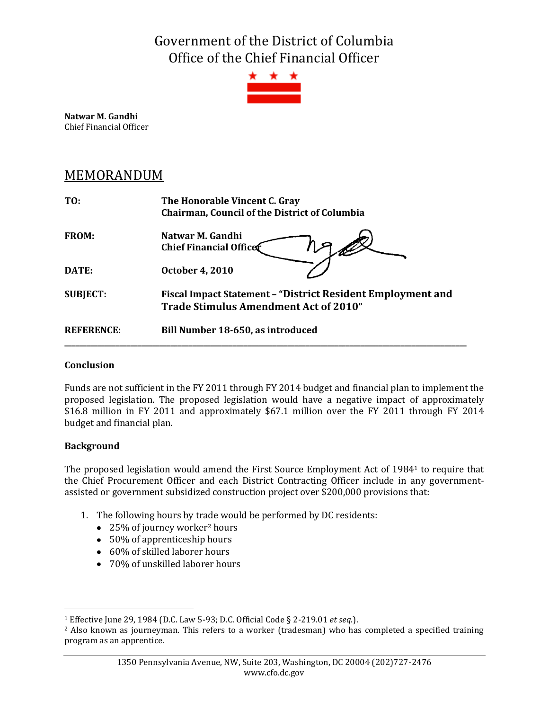Government of the District of Columbia Office of the Chief Financial Officer



**Natwar M. Gandhi** Chief Financial Officer

# MEMORANDUM

| T0:               | The Honorable Vincent C. Gray<br><b>Chairman, Council of the District of Columbia</b>                       |  |  |  |  |
|-------------------|-------------------------------------------------------------------------------------------------------------|--|--|--|--|
| FROM:             | Natwar M. Gandhi<br><b>Chief Financial Officer</b>                                                          |  |  |  |  |
| <b>DATE:</b>      | <b>October 4, 2010</b>                                                                                      |  |  |  |  |
| <b>SUBJECT:</b>   | Fiscal Impact Statement - "District Resident Employment and<br><b>Trade Stimulus Amendment Act of 2010"</b> |  |  |  |  |
| <b>REFERENCE:</b> | Bill Number 18-650, as introduced                                                                           |  |  |  |  |

### **Conclusion**

Funds are not sufficient in the FY 2011 through FY 2014 budget and financial plan to implement the proposed legislation. The proposed legislation would have a negative impact of approximately \$16.8 million in FY 2011 and approximately \$67.1 million over the FY 2011 through FY 2014 budget and financial plan.

## **Background**

 $\overline{a}$ 

The proposed legislation would amend the First Source Employment Act of 1984<sup>1</sup> to require that the Chief Procurement Officer and each District Contracting Officer include in any governmentassisted or government subsidized construction project over \$200,000 provisions that:

- 1. The following hours by trade would be performed by DC residents:
	- 25% of journey worker<sup>2</sup> hours
	- 50% of apprenticeship hours
	- 60% of skilled laborer hours
	- 70% of unskilled laborer hours

<sup>1</sup> Effective June 29, 1984 (D.C. Law 5-93; D.C. Official Code § 2-219.01 *et seq*.).

<sup>&</sup>lt;sup>2</sup> Also known as journeyman. This refers to a worker (tradesman) who has completed a specified training program as an apprentice.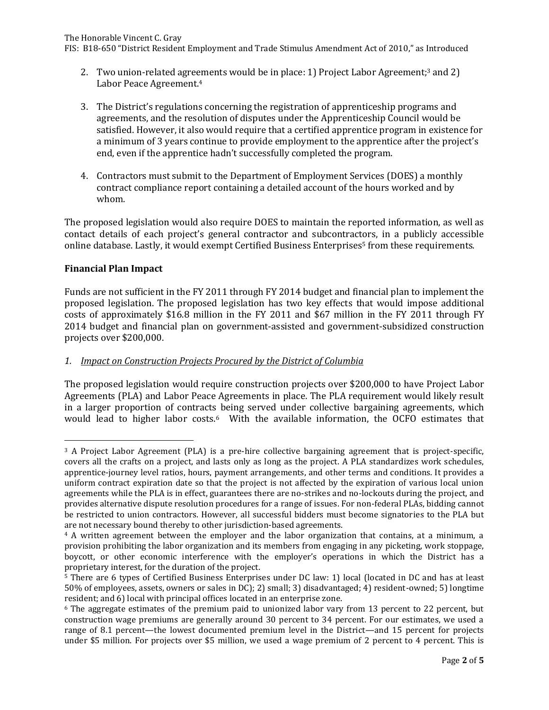FIS: B18-650 "District Resident Employment and Trade Stimulus Amendment Act of 2010," as Introduced

- 2. Two union-related agreements would be in place: 1) Project Labor Agreement; <sup>3</sup> and 2) Labor Peace Agreement. 4
- 3. The District's regulations concerning the registration of apprenticeship programs and agreements, and the resolution of disputes under the Apprenticeship Council would be satisfied. However, it also would require that a certified apprentice program in existence for a minimum of 3 years continue to provide employment to the apprentice after the project's end, even if the apprentice hadn't successfully completed the program.
- 4. Contractors must submit to the Department of Employment Services (DOES) a monthly contract compliance report containing a detailed account of the hours worked and by whom.

The proposed legislation would also require DOES to maintain the reported information, as well as contact details of each project's general contractor and subcontractors, in a publicly accessible online database. Lastly, it would exempt Certified Business Enterprises<sup>5</sup> from these requirements.

#### **Financial Plan Impact**

 $\overline{a}$ 

Funds are not sufficient in the FY 2011 through FY 2014 budget and financial plan to implement the proposed legislation. The proposed legislation has two key effects that would impose additional costs of approximately \$16.8 million in the FY 2011 and \$67 million in the FY 2011 through FY 2014 budget and financial plan on government-assisted and government-subsidized construction projects over \$200,000.

#### *1. Impact on Construction Projects Procured by the District of Columbia*

The proposed legislation would require construction projects over \$200,000 to have Project Labor Agreements (PLA) and Labor Peace Agreements in place. The PLA requirement would likely result in a larger proportion of contracts being served under collective bargaining agreements, which would lead to higher labor costs. <sup>6</sup> With the available information, the OCFO estimates that

<sup>&</sup>lt;sup>3</sup> A Project Labor Agreement (PLA) is a pre-hire collective bargaining agreement that is project-specific, covers all the crafts on a project, and lasts only as long as the project. A PLA standardizes work schedules, apprentice-journey level ratios, hours, payment arrangements, and other terms and conditions. It provides a uniform contract expiration date so that the project is not affected by the expiration of various local union agreements while the PLA is in effect, guarantees there are no-strikes and no-lockouts during the project, and provides alternative dispute resolution procedures for a range of issues. For non-federal PLAs, bidding cannot be restricted to union contractors. However, all successful bidders must become signatories to the PLA but are not necessary bound thereby to other jurisdiction-based agreements.

<sup>4</sup> A written agreement between the employer and the labor organization that contains, at a minimum, a provision prohibiting the labor organization and its members from engaging in any picketing, work stoppage, boycott, or other economic interference with the employer's operations in which the District has a proprietary interest, for the duration of the project.

<sup>5</sup> There are 6 types of Certified Business Enterprises under DC law: 1) local (located in DC and has at least 50% of employees, assets, owners or sales in DC); 2) small; 3) disadvantaged; 4) resident-owned; 5) longtime resident; and 6) local with principal offices located in an enterprise zone.

<sup>6</sup> The aggregate estimates of the premium paid to unionized labor vary from 13 percent to 22 percent, but construction wage premiums are generally around 30 percent to 34 percent. For our estimates, we used a range of 8.1 percent—the lowest documented premium level in the District—and 15 percent for projects under \$5 million. For projects over \$5 million, we used a wage premium of 2 percent to 4 percent. This is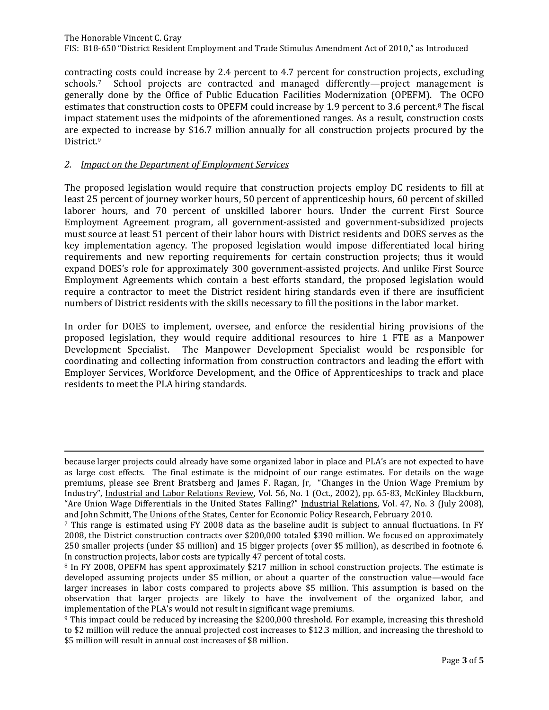The Honorable Vincent C. Gray FIS: B18-650 "District Resident Employment and Trade Stimulus Amendment Act of 2010," as Introduced

contracting costs could increase by 2.4 percent to 4.7 percent for construction projects, excluding schools.7 School projects are contracted and managed differently—project management is generally done by the Office of Public Education Facilities Modernization (OPEFM). The OCFO estimates that construction costs to OPEFM could increase by 1.9 percent to 3.6 percent.<sup>8</sup> The fiscal impact statement uses the midpoints of the aforementioned ranges. As a result, construction costs are expected to increase by \$16.7 million annually for all construction projects procured by the District.<sup>9</sup>

#### *2. Impact on the Department of Employment Services*

 $\overline{a}$ 

The proposed legislation would require that construction projects employ DC residents to fill at least 25 percent of journey worker hours, 50 percent of apprenticeship hours, 60 percent of skilled laborer hours, and 70 percent of unskilled laborer hours. Under the current First Source Employment Agreement program, all government-assisted and government-subsidized projects must source at least 51 percent of their labor hours with District residents and DOES serves as the key implementation agency. The proposed legislation would impose differentiated local hiring requirements and new reporting requirements for certain construction projects; thus it would expand DOES's role for approximately 300 government-assisted projects. And unlike First Source Employment Agreements which contain a best efforts standard, the proposed legislation would require a contractor to meet the District resident hiring standards even if there are insufficient numbers of District residents with the skills necessary to fill the positions in the labor market.

In order for DOES to implement, oversee, and enforce the residential hiring provisions of the proposed legislation, they would require additional resources to hire 1 FTE as a Manpower Development Specialist. The Manpower Development Specialist would be responsible for coordinating and collecting information from construction contractors and leading the effort with Employer Services, Workforce Development, and the Office of Apprenticeships to track and place residents to meet the PLA hiring standards.

because larger projects could already have some organized labor in place and PLA's are not expected to have as large cost effects. The final estimate is the midpoint of our range estimates. For details on the wage premiums, please see Brent Bratsberg and James F. Ragan, Jr, "Changes in the Union Wage Premium by Industry", Industrial and Labor Relations Review, Vol. 56, No. 1 (Oct., 2002), pp. 65-83, McKinley Blackburn, "Are Union Wage Differentials in the United States Falling?" Industrial Relations, Vol. 47, No. 3 (July 2008), and John Schmitt, The Unions of the States, Center for Economic Policy Research, February 2010.

<sup>7</sup> This range is estimated using FY 2008 data as the baseline audit is subject to annual fluctuations. In FY 2008, the District construction contracts over \$200,000 totaled \$390 million. We focused on approximately 250 smaller projects (under \$5 million) and 15 bigger projects (over \$5 million), as described in footnote 6. In construction projects, labor costs are typically 47 percent of total costs.

<sup>8</sup> In FY 2008, OPEFM has spent approximately \$217 million in school construction projects. The estimate is developed assuming projects under \$5 million, or about a quarter of the construction value—would face larger increases in labor costs compared to projects above \$5 million. This assumption is based on the observation that larger projects are likely to have the involvement of the organized labor, and implementation of the PLA's would not result in significant wage premiums.

<sup>9</sup> This impact could be reduced by increasing the \$200,000 threshold. For example, increasing this threshold to \$2 million will reduce the annual projected cost increases to \$12.3 million, and increasing the threshold to \$5 million will result in annual cost increases of \$8 million.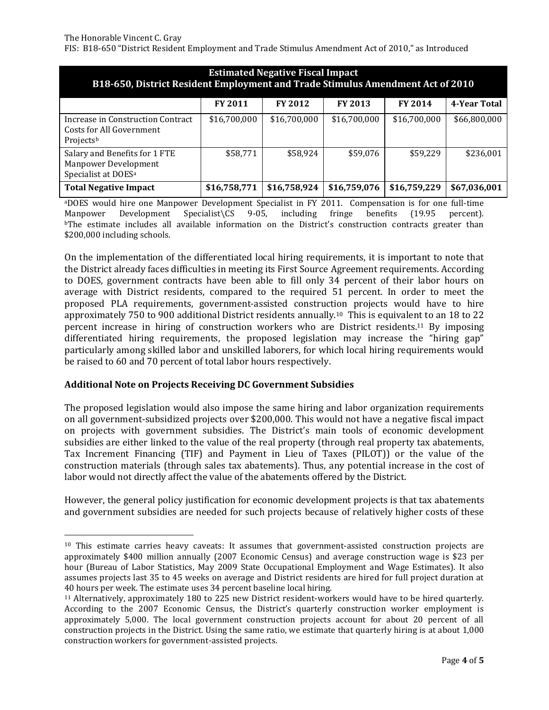$\overline{a}$ 

FIS: B18-650 "District Resident Employment and Trade Stimulus Amendment Act of 2010," as Introduced

| <b>Estimated Negative Fiscal Impact</b><br>B18-650, District Resident Employment and Trade Stimulus Amendment Act of 2010 |                |                |                |                |              |  |  |
|---------------------------------------------------------------------------------------------------------------------------|----------------|----------------|----------------|----------------|--------------|--|--|
|                                                                                                                           | <b>FY 2011</b> | <b>FY 2012</b> | <b>FY 2013</b> | <b>FY 2014</b> | 4-Year Total |  |  |
| Increase in Construction Contract<br>Costs for All Government<br>Projectsb                                                | \$16,700,000   | \$16,700,000   | \$16,700,000   | \$16,700,000   | \$66,800,000 |  |  |
| Salary and Benefits for 1 FTE<br><b>Manpower Development</b><br>Specialist at DOES <sup>a</sup>                           | \$58,771       | \$58,924       | \$59,076       | \$59,229       | \$236,001    |  |  |
| <b>Total Negative Impact</b>                                                                                              | \$16,758,771   | \$16,758,924   | \$16,759,076   | \$16,759,229   | \$67,036,001 |  |  |

<sup>a</sup>DOES would hire one Manpower Development Specialist in FY 2011. Compensation is for one full-time Manpower Development Specialist\CS 9-05, including fringe benefits (19.95 percent). <sup>b</sup>The estimate includes all available information on the District's construction contracts greater than \$200,000 including schools.

On the implementation of the differentiated local hiring requirements, it is important to note that the District already faces difficulties in meeting its First Source Agreement requirements. According to DOES, government contracts have been able to fill only 34 percent of their labor hours on average with District residents, compared to the required 51 percent. In order to meet the proposed PLA requirements, government-assisted construction projects would have to hire approximately 750 to 900 additional District residents annually.10 This is equivalent to an 18 to 22 percent increase in hiring of construction workers who are District residents.<sup>11</sup> By imposing differentiated hiring requirements, the proposed legislation may increase the "hiring gap" particularly among skilled labor and unskilled laborers, for which local hiring requirements would be raised to 60 and 70 percent of total labor hours respectively.

#### **Additional Note on Projects Receiving DC Government Subsidies**

The proposed legislation would also impose the same hiring and labor organization requirements on all government-subsidized projects over \$200,000. This would not have a negative fiscal impact on projects with government subsidies. The District's main tools of economic development subsidies are either linked to the value of the real property (through real property tax abatements, Tax Increment Financing (TIF) and Payment in Lieu of Taxes (PILOT)) or the value of the construction materials (through sales tax abatements). Thus, any potential increase in the cost of labor would not directly affect the value of the abatements offered by the District.

However, the general policy justification for economic development projects is that tax abatements and government subsidies are needed for such projects because of relatively higher costs of these

<sup>&</sup>lt;sup>10</sup> This estimate carries heavy caveats: It assumes that government-assisted construction projects are approximately \$400 million annually (2007 Economic Census) and average construction wage is \$23 per hour (Bureau of Labor Statistics, May 2009 State Occupational Employment and Wage Estimates). It also assumes projects last 35 to 45 weeks on average and District residents are hired for full project duration at 40 hours per week. The estimate uses 34 percent baseline local hiring.

<sup>11</sup> Alternatively, approximately 180 to 225 new District resident-workers would have to be hired quarterly. According to the 2007 Economic Census, the District's quarterly construction worker employment is approximately 5,000. The local government construction projects account for about 20 percent of all construction projects in the District. Using the same ratio, we estimate that quarterly hiring is at about 1,000 construction workers for government-assisted projects.